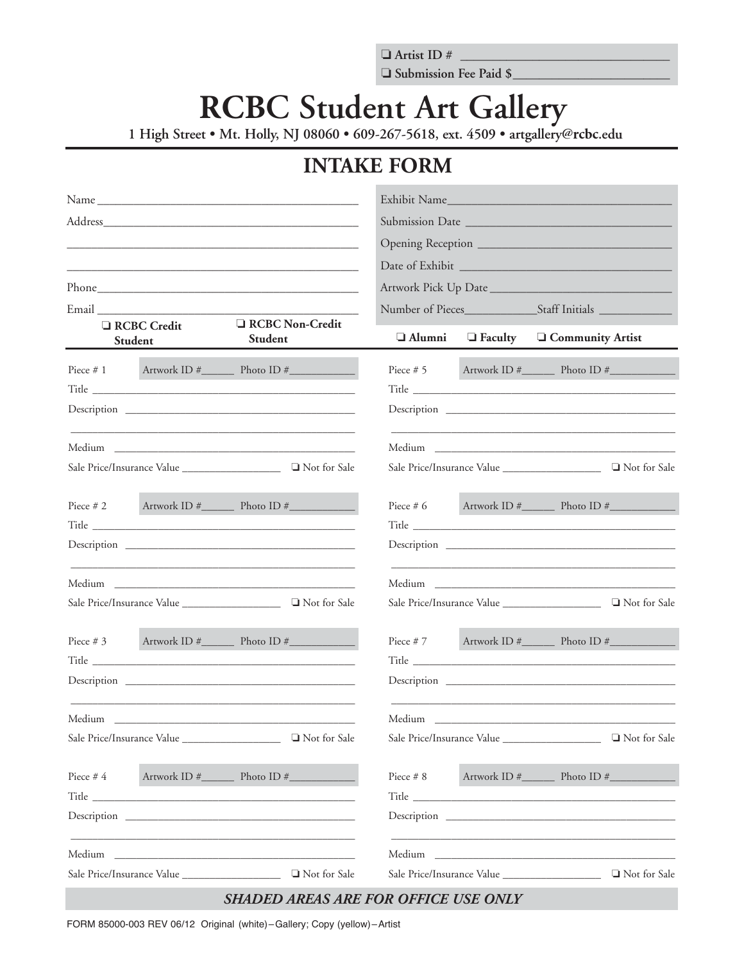$\Box$  Artist ID# Submission Fee Paid \$

## **RCBC Student Art Gallery**

1 High Street • Mt. Holly, NJ 08060 • 609-267-5618, ext. 4509 • artgallery@rcbc.edu

## **INTAKE FORM**

| Name                                                                                                                                                                                                                                |                                     | Exhibit Name                               |                            |                                                                                                                                                                                                                                      |
|-------------------------------------------------------------------------------------------------------------------------------------------------------------------------------------------------------------------------------------|-------------------------------------|--------------------------------------------|----------------------------|--------------------------------------------------------------------------------------------------------------------------------------------------------------------------------------------------------------------------------------|
|                                                                                                                                                                                                                                     |                                     |                                            |                            |                                                                                                                                                                                                                                      |
|                                                                                                                                                                                                                                     |                                     |                                            |                            |                                                                                                                                                                                                                                      |
|                                                                                                                                                                                                                                     |                                     |                                            |                            |                                                                                                                                                                                                                                      |
|                                                                                                                                                                                                                                     |                                     | Artwork Pick Up Date                       |                            |                                                                                                                                                                                                                                      |
| Email and the contract of the contract of the contract of the contract of the contract of the contract of the contract of the contract of the contract of the contract of the contract of the contract of the contract of the       |                                     |                                            |                            |                                                                                                                                                                                                                                      |
| <b>RCBC</b> Credit<br>Student                                                                                                                                                                                                       | <b>Q</b> RCBC Non-Credit<br>Student | $\Box$ Alumni                              | $\Box$ Faculty             | <b>Q</b> Community Artist                                                                                                                                                                                                            |
| Piece $# 1$                                                                                                                                                                                                                         |                                     | Piece $# 5$                                |                            |                                                                                                                                                                                                                                      |
|                                                                                                                                                                                                                                     |                                     |                                            |                            |                                                                                                                                                                                                                                      |
|                                                                                                                                                                                                                                     |                                     |                                            |                            |                                                                                                                                                                                                                                      |
|                                                                                                                                                                                                                                     |                                     |                                            |                            | <u> 1989 - Johann Stoff, Amerikaansk politiker (* 1908)</u>                                                                                                                                                                          |
|                                                                                                                                                                                                                                     |                                     |                                            |                            |                                                                                                                                                                                                                                      |
| Piece $# 2$                                                                                                                                                                                                                         |                                     | Piece $# 6$                                |                            |                                                                                                                                                                                                                                      |
| Title <b>Executive Community</b> and the contract of the contract of the contract of the contract of the contract of the contract of the contract of the contract of the contract of the contract of the contract of the contract o |                                     |                                            |                            | Title <u>the same of the same of the same of the same of the same of the same of the same of the same of the same of the same of the same of the same of the same of the same of the same of the same of the same of the same of</u> |
|                                                                                                                                                                                                                                     |                                     |                                            |                            |                                                                                                                                                                                                                                      |
|                                                                                                                                                                                                                                     |                                     |                                            |                            | Medium and the state of the state of the state of the state of the state of the state of the state of the state of the state of the state of the state of the state of the state of the state of the state of the state of the       |
|                                                                                                                                                                                                                                     |                                     |                                            |                            |                                                                                                                                                                                                                                      |
| Piece $# 3$                                                                                                                                                                                                                         |                                     | Piece $# 7$                                |                            |                                                                                                                                                                                                                                      |
|                                                                                                                                                                                                                                     |                                     |                                            |                            |                                                                                                                                                                                                                                      |
|                                                                                                                                                                                                                                     |                                     |                                            |                            |                                                                                                                                                                                                                                      |
|                                                                                                                                                                                                                                     |                                     |                                            |                            |                                                                                                                                                                                                                                      |
| Not for Sale                                                                                                                                                                                                                        |                                     | Sale Price/Insurance Value<br>Not for Sale |                            |                                                                                                                                                                                                                                      |
| Piece #4                                                                                                                                                                                                                            |                                     | Piece # 8                                  |                            |                                                                                                                                                                                                                                      |
|                                                                                                                                                                                                                                     |                                     |                                            |                            |                                                                                                                                                                                                                                      |
|                                                                                                                                                                                                                                     |                                     |                                            |                            | Description Description                                                                                                                                                                                                              |
|                                                                                                                                                                                                                                     |                                     |                                            |                            |                                                                                                                                                                                                                                      |
|                                                                                                                                                                                                                                     |                                     |                                            | Sale Price/Insurance Value | Not for Sale                                                                                                                                                                                                                         |

FORM 85000-003 REV 06/12 Original (white)-Gallery; Copy (yellow)-Artist